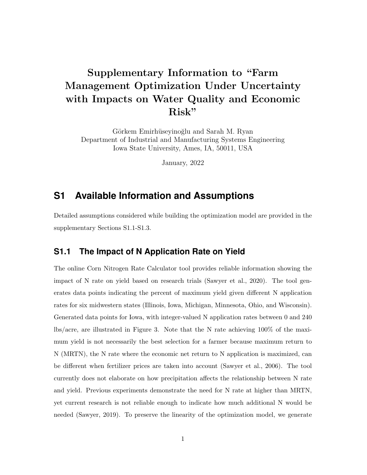# Supplementary Information to "Farm Management Optimization Under Uncertainty with Impacts on Water Quality and Economic Risk"

Görkem Emirhüseyinoğlu and Sarah M. Ryan Department of Industrial and Manufacturing Systems Engineering Iowa State University, Ames, IA, 50011, USA

January, 2022

## **S1 Available Information and Assumptions**

Detailed assumptions considered while building the optimization model are provided in the supplementary Sections S1.1-S1.3.

#### **S1.1 The Impact of N Application Rate on Yield**

The online Corn Nitrogen Rate Calculator tool provides reliable information showing the impact of N rate on yield based on research trials (Sawyer et al., 2020). The tool generates data points indicating the percent of maximum yield given different N application rates for six midwestern states (Illinois, Iowa, Michigan, Minnesota, Ohio, and Wisconsin). Generated data points for Iowa, with integer-valued N application rates between 0 and 240 lbs/acre, are illustrated in Figure 3. Note that the N rate achieving 100% of the maximum yield is not necessarily the best selection for a farmer because maximum return to N (MRTN), the N rate where the economic net return to N application is maximized, can be different when fertilizer prices are taken into account (Sawyer et al., 2006). The tool currently does not elaborate on how precipitation affects the relationship between N rate and yield. Previous experiments demonstrate the need for N rate at higher than MRTN, yet current research is not reliable enough to indicate how much additional N would be needed (Sawyer, 2019). To preserve the linearity of the optimization model, we generate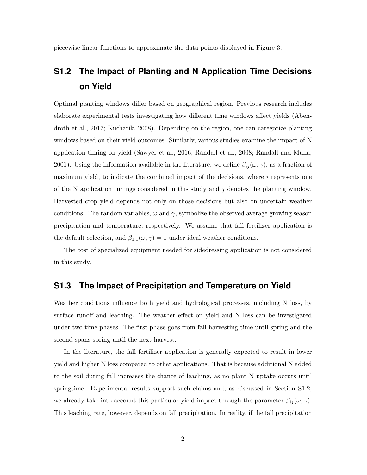piecewise linear functions to approximate the data points displayed in Figure 3.

## **S1.2 The Impact of Planting and N Application Time Decisions on Yield**

Optimal planting windows differ based on geographical region. Previous research includes elaborate experimental tests investigating how different time windows affect yields (Abendroth et al., 2017; Kucharik, 2008). Depending on the region, one can categorize planting windows based on their yield outcomes. Similarly, various studies examine the impact of N application timing on yield (Sawyer et al., 2016; Randall et al., 2008; Randall and Mulla, 2001). Using the information available in the literature, we define  $\beta_{ij}(\omega, \gamma)$ , as a fraction of maximum yield, to indicate the combined impact of the decisions, where  $i$  represents one of the N application timings considered in this study and j denotes the planting window. Harvested crop yield depends not only on those decisions but also on uncertain weather conditions. The random variables,  $\omega$  and  $\gamma$ , symbolize the observed average growing season precipitation and temperature, respectively. We assume that fall fertilizer application is the default selection, and  $\beta_{1,1}(\omega, \gamma) = 1$  under ideal weather conditions.

The cost of specialized equipment needed for sidedressing application is not considered in this study.

#### **S1.3 The Impact of Precipitation and Temperature on Yield**

Weather conditions influence both yield and hydrological processes, including N loss, by surface runoff and leaching. The weather effect on yield and N loss can be investigated under two time phases. The first phase goes from fall harvesting time until spring and the second spans spring until the next harvest.

In the literature, the fall fertilizer application is generally expected to result in lower yield and higher N loss compared to other applications. That is because additional N added to the soil during fall increases the chance of leaching, as no plant N uptake occurs until springtime. Experimental results support such claims and, as discussed in Section S1.2, we already take into account this particular yield impact through the parameter  $\beta_{ij}(\omega, \gamma)$ . This leaching rate, however, depends on fall precipitation. In reality, if the fall precipitation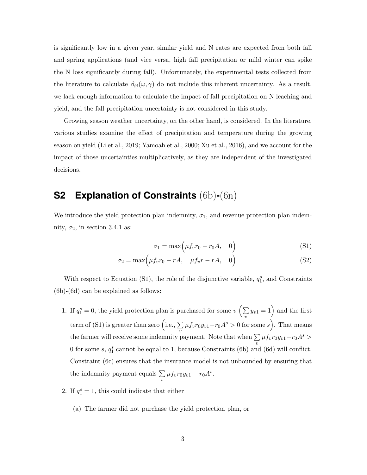is significantly low in a given year, similar yield and N rates are expected from both fall and spring applications (and vice versa, high fall precipitation or mild winter can spike the N loss significantly during fall). Unfortunately, the experimental tests collected from the literature to calculate  $\beta_{ij}(\omega, \gamma)$  do not include this inherent uncertainty. As a result, we lack enough information to calculate the impact of fall precipitation on N leaching and yield, and the fall precipitation uncertainty is not considered in this study.

Growing season weather uncertainty, on the other hand, is considered. In the literature, various studies examine the effect of precipitation and temperature during the growing season on yield (Li et al., 2019; Yamoah et al., 2000; Xu et al., 2016), and we account for the impact of those uncertainties multiplicatively, as they are independent of the investigated decisions.

## **S2 Explanation of Constraints** (6b)**-**(6n)

We introduce the yield protection plan indemnity,  $\sigma_1$ , and revenue protection plan indemnity,  $\sigma_2$ , in section 3.4.1 as:

$$
\sigma_1 = \max\left(\mu f_v r_0 - r_0 A, \quad 0\right) \tag{S1}
$$

$$
\sigma_2 = \max\left(\mu f_v r_0 - rA, \quad \mu f_v r - rA, \quad 0\right) \tag{S2}
$$

With respect to Equation (S1), the role of the disjunctive variable,  $q_1^s$ , and Constraints (6b)-(6d) can be explained as follows:

- 1. If  $q_1^s = 0$ , the yield protection plan is purchased for some  $v \left( \sum_{n=1}^{\infty} a_n \right)$  $\sum_{v} y_{v1} = 1$  and the first term of (S1) is greater than zero (i.e.,  $\Sigma$  $\sum_{v} \mu f_v r_0 y_{v1} - r_0 A^s > 0$  for some  $s$ ). That means the farmer will receive some indemnity payment. Note that when  $\Sigma$  $\sum_{v} \mu f_v r_0 y_{v1} - r_0 A^s >$ 0 for some  $s, q_1^s$  cannot be equal to 1, because Constraints (6b) and (6d) will conflict. Constraint (6c) ensures that the insurance model is not unbounded by ensuring that the indemnity payment equals  $\Sigma$  $\sum_{v} \mu f_v r_0 y_{v1} - r_0 A^s.$
- 2. If  $q_1^s = 1$ , this could indicate that either
	- (a) The farmer did not purchase the yield protection plan, or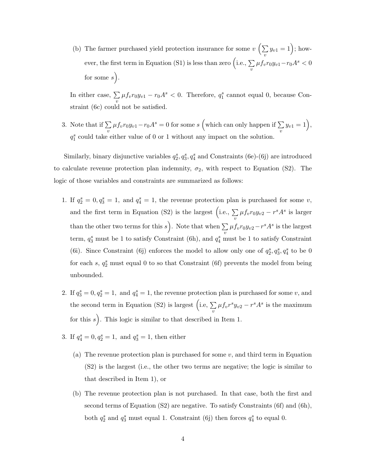(b) The farmer purchased yield protection insurance for some  $v \left( \sum_{n=1}^{\infty} \right)$  $\sum_{v} y_{v1} = 1$ ); however, the first term in Equation (S1) is less than zero (i.e.,  $\Sigma$  $\sum_{v} \mu f_v r_0 y_{v1} - r_0 A^s < 0$ for some  $s$ .

In either case,  $\Sigma$  $\sum_{v} \mu f_v r_0 y_{v1} - r_0 A^s < 0$ . Therefore,  $q_1^s$  cannot equal 0, because Constraint (6c) could not be satisfied.

3. Note that if  $\Sigma$  $\sum_{v} \mu f_v r_0 y_{v1} - r_0 A^s = 0$  for some s (which can only happen if  $\sum_{v}$  $\sum_{v} y_{v1} = 1,$  $q_1^s$  could take either value of 0 or 1 without any impact on the solution.

Similarly, binary disjunctive variables  $q_2^s, q_3^s, q_4^s$  and Constraints (6e)-(6j) are introduced to calculate revenue protection plan indemnity,  $\sigma_2$ , with respect to Equation (S2). The logic of those variables and constraints are summarized as follows:

- 1. If  $q_2^s = 0, q_3^s = 1$ , and  $q_4^s = 1$ , the revenue protection plan is purchased for some v, and the first term in Equation (S2) is the largest (i.e.,  $\Sigma$  $\sum_{v} \mu f_v r_0 y_{v2} - r^s A^s$  is larger than the other two terms for this s. Note that when  $\sum$  $\sum_{v} \mu f_v r_0 y_{v2} - r^s A^s$  is the largest term,  $q_3^s$  must be 1 to satisfy Constraint (6h), and  $q_4^s$  must be 1 to satisfy Constraint (6i). Since Constraint (6j) enforces the model to allow only one of  $q_2^s, q_3^s, q_4^s$  to be 0 for each  $s, q_2^s$  must equal 0 to so that Constraint (6f) prevents the model from being unbounded.
- 2. If  $q_3^s = 0, q_2^s = 1$ , and  $q_4^s = 1$ , the revenue protection plan is purchased for some v, and the second term in Equation (S2) is largest (i.e,  $\Sigma$ )  $\sum_{v} \mu f_v r^s y_{v2} - r^s A^s$  is the maximum for this  $s$ ). This logic is similar to that described in Item 1.
- 3. If  $q_4^s = 0, q_2^s = 1$ , and  $q_3^s = 1$ , then either
	- (a) The revenue protection plan is purchased for some  $v$ , and third term in Equation (S2) is the largest (i.e., the other two terms are negative; the logic is similar to that described in Item 1), or
	- (b) The revenue protection plan is not purchased. In that case, both the first and second terms of Equation (S2) are negative. To satisfy Constraints (6f) and (6h), both  $q_2^s$  and  $q_3^s$  must equal 1. Constraint (6j) then forces  $q_4^s$  to equal 0.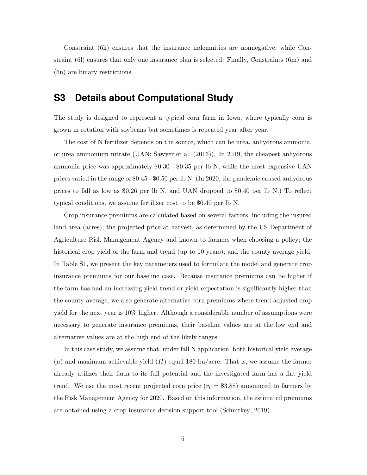Constraint (6k) ensures that the insurance indemnities are nonnegative, while Constraint (6l) ensures that only one insurance plan is selected. Finally, Constraints (6m) and (6n) are binary restrictions.

### **S3 Details about Computational Study**

The study is designed to represent a typical corn farm in Iowa, where typically corn is grown in rotation with soybeans but sometimes is repeated year after year.

The cost of N fertilizer depends on the source, which can be urea, anhydrous ammonia, or urea ammonium nitrate (UAN; Sawyer et al. (2016)). In 2019, the cheapest anhydrous ammonia price was approximately \$0.30 - \$0.35 per lb N, while the most expensive UAN prices varied in the range of \$0.45 - \$0.50 per lb N. (In 2020, the pandemic caused anhydrous prices to fall as low as \$0.26 per lb N, and UAN dropped to \$0.40 per lb N.) To reflect typical conditions, we assume fertilizer cost to be \$0.40 per lb N.

Crop insurance premiums are calculated based on several factors, including the insured land area (acres); the projected price at harvest, as determined by the US Department of Agriculture Risk Management Agency and known to farmers when choosing a policy; the historical crop yield of the farm and trend (up to 10 years); and the county average yield. In Table S1, we present the key parameters used to formulate the model and generate crop insurance premiums for our baseline case. Because insurance premiums can be higher if the farm has had an increasing yield trend or yield expectation is significantly higher than the county average, we also generate alternative corn premiums where trend-adjusted crop yield for the next year is 10% higher. Although a considerable number of assumptions were necessary to generate insurance premiums, their baseline values are at the low end and alternative values are at the high end of the likely ranges.

In this case study, we assume that, under fall N application, both historical yield average  $(\mu)$  and maximum achievable yield  $(H)$  equal 180 bu/acre. That is, we assume the farmer already utilizes their farm to its full potential and the investigated farm has a flat yield trend. We use the most recent projected corn price  $(r_0 = $3.88)$  announced to farmers by the Risk Management Agency for 2020. Based on this information, the estimated premiums are obtained using a crop insurance decision support tool (Schnitkey, 2019).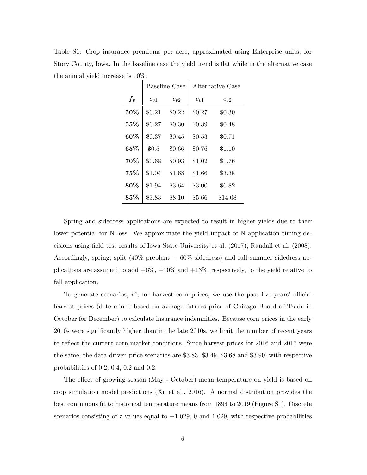Table S1: Crop insurance premiums per acre, approximated using Enterprise units, for Story County, Iowa. In the baseline case the yield trend is flat while in the alternative case the annual yield increase is 10%.

|        | Baseline Case |          | Alternative Case |          |
|--------|---------------|----------|------------------|----------|
| $f_v$  | $c_{n1}$      | $c_{v2}$ | $c_{n1}$         | $c_{v2}$ |
| 50%    | \$0.21        | \$0.22   | \$0.27           | \$0.30   |
| $55\%$ | \$0.27        | \$0.30   | \$0.39           | \$0.48   |
| 60%    | \$0.37        | \$0.45   | \$0.53           | \$0.71   |
| 65%    | \$0.5         | \$0.66   | \$0.76           | \$1.10   |
| 70%    | \$0.68        | \$0.93   | \$1.02           | \$1.76   |
| $75\%$ | \$1.04        | \$1.68   | \$1.66           | \$3.38   |
| 80%    | \$1.94        | \$3.64   | \$3.00           | \$6.82   |
| 85%    | \$3.83        | \$8.10   | \$5.66           | \$14.08  |

Spring and sidedress applications are expected to result in higher yields due to their lower potential for N loss. We approximate the yield impact of N application timing decisions using field test results of Iowa State University et al. (2017); Randall et al. (2008). Accordingly, spring, split  $(40\%$  preplant  $+ 60\%$  sidedress) and full summer sidedress applications are assumed to add  $+6\%, +10\%$  and  $+13\%,$  respectively, to the yield relative to fall application.

To generate scenarios,  $r^s$ , for harvest corn prices, we use the past five years' official harvest prices (determined based on average futures price of Chicago Board of Trade in October for December) to calculate insurance indemnities. Because corn prices in the early 2010s were significantly higher than in the late 2010s, we limit the number of recent years to reflect the current corn market conditions. Since harvest prices for 2016 and 2017 were the same, the data-driven price scenarios are \$3.83, \$3.49, \$3.68 and \$3.90, with respective probabilities of 0.2, 0.4, 0.2 and 0.2.

The effect of growing season (May - October) mean temperature on yield is based on crop simulation model predictions (Xu et al., 2016). A normal distribution provides the best continuous fit to historical temperature means from 1894 to 2019 (Figure S1). Discrete scenarios consisting of z values equal to  $-1.029$ , 0 and 1.029, with respective probabilities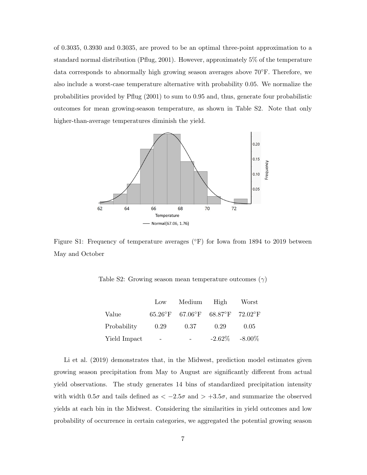of 0.3035, 0.3930 and 0.3035, are proved to be an optimal three-point approximation to a standard normal distribution (Pflug, 2001). However, approximately 5% of the temperature data corresponds to abnormally high growing season averages above  $70°$ F. Therefore, we also include a worst-case temperature alternative with probability 0.05. We normalize the probabilities provided by Pflug (2001) to sum to 0.95 and, thus, generate four probabilistic outcomes for mean growing-season temperature, as shown in Table S2. Note that only higher-than-average temperatures diminish the yield.



Figure S1: Frequency of temperature averages (°F) for Iowa from 1894 to 2019 between May and October

Table S2: Growing season mean temperature outcomes  $(\gamma)$ 

|              | $_{\text{Low}}$          | Medium High                     |      | Worst             |
|--------------|--------------------------|---------------------------------|------|-------------------|
| Value        |                          | 65.26°F 67.06°F 68.87°F 72.02°F |      |                   |
| Probability  | 0.29                     | $0.37\,$                        | 0.29 | 0.05              |
| Yield Impact | $\overline{\phantom{0}}$ |                                 |      | $-2.62\% -8.00\%$ |

Li et al. (2019) demonstrates that, in the Midwest, prediction model estimates given growing season precipitation from May to August are significantly different from actual yield observations. The study generates 14 bins of standardized precipitation intensity with width  $0.5\sigma$  and tails defined as  $\langle -2.5\sigma \rangle$  and  $> +3.5\sigma$ , and summarize the observed yields at each bin in the Midwest. Considering the similarities in yield outcomes and low probability of occurrence in certain categories, we aggregated the potential growing season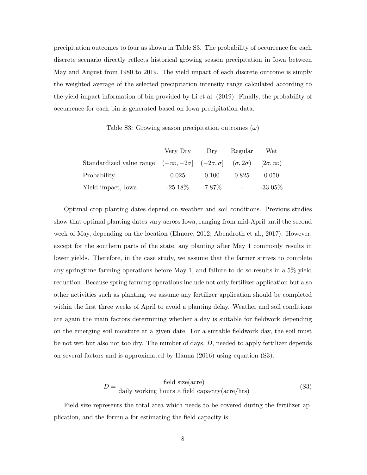precipitation outcomes to four as shown in Table S3. The probability of occurrence for each discrete scenario directly reflects historical growing season precipitation in Iowa between May and August from 1980 to 2019. The yield impact of each discrete outcome is simply the weighted average of the selected precipitation intensity range calculated according to the yield impact information of bin provided by Li et al. (2019). Finally, the probability of occurrence for each bin is generated based on Iowa precipitation data.

Table S3: Growing season precipitation outcomes  $(\omega)$ 

|                                                                                                             | Very Dry Dry         |       | Regular                                                                                                           | Wet        |
|-------------------------------------------------------------------------------------------------------------|----------------------|-------|-------------------------------------------------------------------------------------------------------------------|------------|
| Standardized value range $(-\infty, -2\sigma]$ $(-2\sigma, \sigma]$ $(\sigma, 2\sigma)$ $[2\sigma, \infty)$ |                      |       |                                                                                                                   |            |
| Probability                                                                                                 | 0.025                | 0.100 | 0.825                                                                                                             | 0.050      |
| Yield impact, Iowa                                                                                          | $-25.18\%$ $-7.87\%$ |       | $\mathcal{L}^{\mathcal{L}}(\mathcal{L}^{\mathcal{L}})$ and $\mathcal{L}^{\mathcal{L}}(\mathcal{L}^{\mathcal{L}})$ | $-33.05\%$ |

Optimal crop planting dates depend on weather and soil conditions. Previous studies show that optimal planting dates vary across Iowa, ranging from mid-April until the second week of May, depending on the location (Elmore, 2012; Abendroth et al., 2017). However, except for the southern parts of the state, any planting after May 1 commonly results in lower yields. Therefore, in the case study, we assume that the farmer strives to complete any springtime farming operations before May 1, and failure to do so results in a 5% yield reduction. Because spring farming operations include not only fertilizer application but also other activities such as planting, we assume any fertilizer application should be completed within the first three weeks of April to avoid a planting delay. Weather and soil conditions are again the main factors determining whether a day is suitable for fieldwork depending on the emerging soil moisture at a given date. For a suitable fieldwork day, the soil must be not wet but also not too dry. The number of days,  $D$ , needed to apply fertilizer depends on several factors and is approximated by Hanna (2016) using equation (S3).

$$
D = \frac{\text{field size(acre)}}{\text{daily working hours} \times \text{field capacity(acre/hrs)}}
$$
(S3)

Field size represents the total area which needs to be covered during the fertilizer application, and the formula for estimating the field capacity is: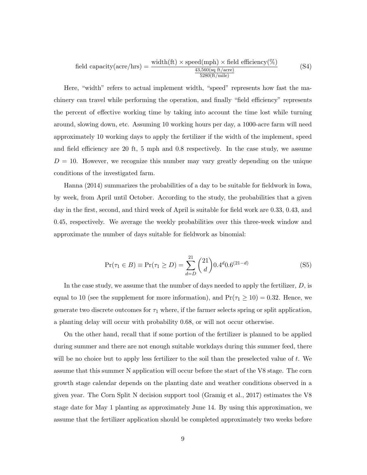$$
\text{field capacity}(\text{acre/hrs}) = \frac{\text{width}(\text{ft}) \times \text{speed}(\text{mph}) \times \text{field efficiency}(\%)}{\frac{43,560(\text{sq ft/acre})}{5280(\text{ft/mile})}}
$$
(S4)

Here, "width" refers to actual implement width, "speed" represents how fast the machinery can travel while performing the operation, and finally "field efficiency" represents the percent of effective working time by taking into account the time lost while turning around, slowing down, etc. Assuming 10 working hours per day, a 1000-acre farm will need approximately 10 working days to apply the fertilizer if the width of the implement, speed and field efficiency are 20 ft, 5 mph and 0.8 respectively. In the case study, we assume  $D = 10$ . However, we recognize this number may vary greatly depending on the unique conditions of the investigated farm.

Hanna (2014) summarizes the probabilities of a day to be suitable for fieldwork in Iowa, by week, from April until October. According to the study, the probabilities that a given day in the first, second, and third week of April is suitable for field work are 0.33, 0.43, and 0.45, respectively. We average the weekly probabilities over this three-week window and approximate the number of days suitable for fieldwork as binomial:

$$
Pr(\tau_1 \in B) \equiv Pr(\tau_1 \ge D) = \sum_{d=D}^{21} {21 \choose d} 0.4^d 0.6^{(21-d)}
$$
(S5)

In the case study, we assume that the number of days needed to apply the fertilizer,  $D$ , is equal to 10 (see the supplement for more information), and  $Pr(\tau_1 \ge 10) = 0.32$ . Hence, we generate two discrete outcomes for  $\tau_1$  where, if the farmer selects spring or split application, a planting delay will occur with probability 0.68, or will not occur otherwise.

On the other hand, recall that if some portion of the fertilizer is planned to be applied during summer and there are not enough suitable workdays during this summer feed, there will be no choice but to apply less fertilizer to the soil than the preselected value of  $t$ . We assume that this summer N application will occur before the start of the V8 stage. The corn growth stage calendar depends on the planting date and weather conditions observed in a given year. The Corn Split N decision support tool (Gramig et al., 2017) estimates the V8 stage date for May 1 planting as approximately June 14. By using this approximation, we assume that the fertilizer application should be completed approximately two weeks before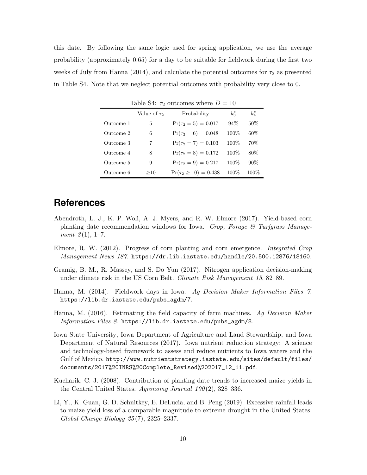this date. By following the same logic used for spring application, we use the average probability (approximately 0.65) for a day to be suitable for fieldwork during the first two weeks of July from Hanna (2014), and calculate the potential outcomes for  $\tau_2$  as presented in Table S4. Note that we neglect potential outcomes with probability very close to 0.

| Table S4: $\tau_2$ outcomes where $D = 10$ |                   |                             |         |             |
|--------------------------------------------|-------------------|-----------------------------|---------|-------------|
|                                            | Value of $\tau_2$ | Probability                 | $k_3^s$ | $k_{4}^{s}$ |
| Outcome 1                                  | 5                 | $Pr(\tau_2 = 5) = 0.017$    | 94%     | 50%         |
| Outcome 2                                  | 6                 | $Pr(\tau_2 = 6) = 0.048$    | 100%    | $60\%$      |
| Outcome 3                                  | 7                 | $Pr(\tau_2 = 7) = 0.103$    | 100\%   | 70\%        |
| Outcome 4                                  | 8                 | $Pr(\tau_2 = 8) = 0.172$    | 100\%   | 80\%        |
| Outcome 5                                  | 9                 | $Pr(\tau_2 = 9) = 0.217$    | 100%    | $90\%$      |
| Outcome 6                                  | >10               | $Pr(\tau_2 \ge 10) = 0.438$ | $100\%$ | $100\%$     |

### **References**

- Abendroth, L. J., K. P. Woli, A. J. Myers, and R. W. Elmore (2017). Yield-based corn planting date recommendation windows for Iowa. Crop, Forage  $\mathcal C$  Turfgrass Management  $3(1), 1-7.$
- Elmore, R. W. (2012). Progress of corn planting and corn emergence. *Integrated Crop* Management News 187. https://dr.lib.iastate.edu/handle/20.500.12876/18160.
- Gramig, B. M., R. Massey, and S. Do Yun (2017). Nitrogen application decision-making under climate risk in the US Corn Belt. *Climate Risk Management 15*, 82–89.
- Hanna, M. (2014). Fieldwork days in Iowa. Ag Decision Maker Information Files 7. https://lib.dr.iastate.edu/pubs\_agdm/7.
- Hanna, M. (2016). Estimating the field capacity of farm machines. Ag Decision Maker Information Files 8. https://lib.dr.iastate.edu/pubs\_agdm/8.
- Iowa State University, Iowa Department of Agriculture and Land Stewardship, and Iowa Department of Natural Resources (2017). Iowa nutrient reduction strategy: A science and technology-based framework to assess and reduce nutrients to Iowa waters and the Gulf of Mexico. http://www.nutrientstrategy.iastate.edu/sites/default/files/ documents/2017%20INRS%20Complete\_Revised%202017\_12\_11.pdf.
- Kucharik, C. J. (2008). Contribution of planting date trends to increased maize yields in the Central United States. Agronomy Journal  $100(2)$ , 328–336.
- Li, Y., K. Guan, G. D. Schnitkey, E. DeLucia, and B. Peng (2019). Excessive rainfall leads to maize yield loss of a comparable magnitude to extreme drought in the United States. Global Change Biology 25 (7), 2325–2337.